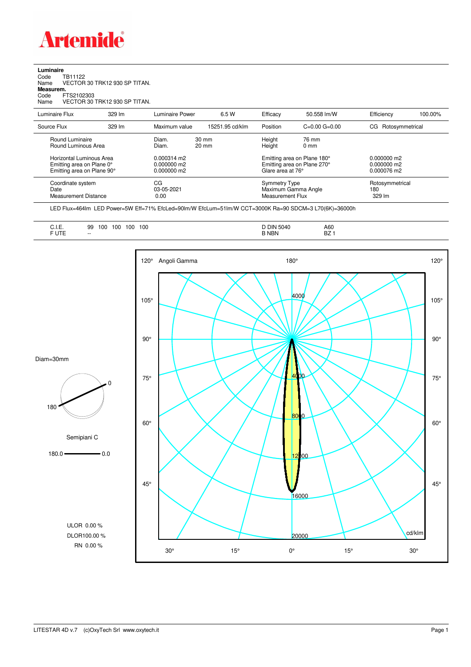

## **Luminaire**<br>Code T<br>Name \ Code TB11122 Name VECTOR 30 TRK12 930 SP TITAN. **Measurem.** Code FTS2102303 Name VECTOR 30 TRK12 930 SP TITAN.

| Luminaire Flux                                                                      | 329 lm | Luminaire Power                               | 6.5 W                              | Efficacv          | 50.558 lm/W                                                     | Efficiency                                  | 100.00%                          |  |
|-------------------------------------------------------------------------------------|--------|-----------------------------------------------|------------------------------------|-------------------|-----------------------------------------------------------------|---------------------------------------------|----------------------------------|--|
| Source Flux                                                                         | 329 lm | Maximum value                                 | 15251.95 cd/klm                    | Position          | $C=0.00$ $G=0.00$                                               | CG Rotosymmetrical                          |                                  |  |
| Round Luminaire<br>Round Luminous Area                                              |        | Diam.<br>Diam.                                | $30 \text{ mm}$<br>$20 \text{ mm}$ | Height<br>Height  | 76 mm<br>$0 \text{ mm}$                                         |                                             |                                  |  |
| Horizontal Luminous Area<br>Emitting area on Plane 0°<br>Emitting area on Plane 90° |        | $0.000314$ m2<br>0.000000 m2<br>$0.000000$ m2 |                                    | Glare area at 76° | Emitting area on Plane 180°<br>Emitting area on Plane 270°      | $0.000000$ m2<br>0.000000 m2<br>0.000076 m2 |                                  |  |
| Coordinate system<br>Date<br><b>Measurement Distance</b>                            |        | CG<br>03-05-2021<br>0.00                      |                                    |                   | <b>Symmetry Type</b><br>Maximum Gamma Angle<br>Measurement Flux |                                             | Rotosymmetrical<br>180<br>329 lm |  |
|                                                                                     |        |                                               |                                    |                   |                                                                 |                                             |                                  |  |

LED Flux=464lm LED Power=5W Eff=71% EfcLed=90lm/W EfcLum=51lm/W CCT=3000K Ra=90 SDCM=3 L70(6K)=36000h